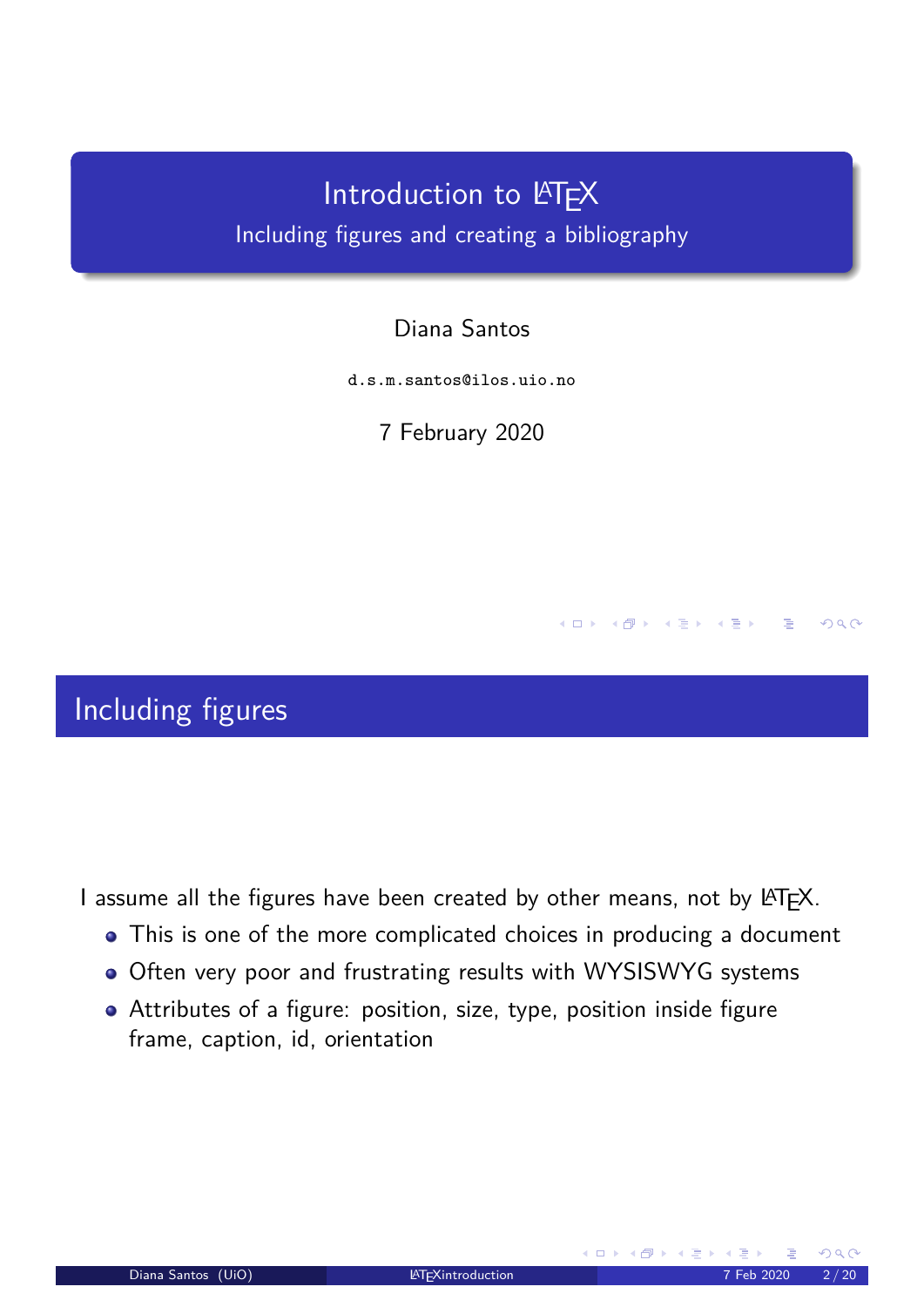# Introduction to LATEX Including figures and creating a bibliography

#### Diana Santos

d.s.m.santos@ilos.uio.no

7 February 2020

### Including figures

<span id="page-0-0"></span>I assume all the figures have been created by other means, not by LATFX.

- This is one of the more complicated choices in producing a document
- Often very poor and frustrating results with WYSISWYG systems
- Attributes of a figure: position, size, type, position inside figure frame, caption, id, orientation

**K ロ ▶ | K 伊 ▶ | K ヨ ▶ | K ヨ ▶** 

 $QQ$ 

∴ ≊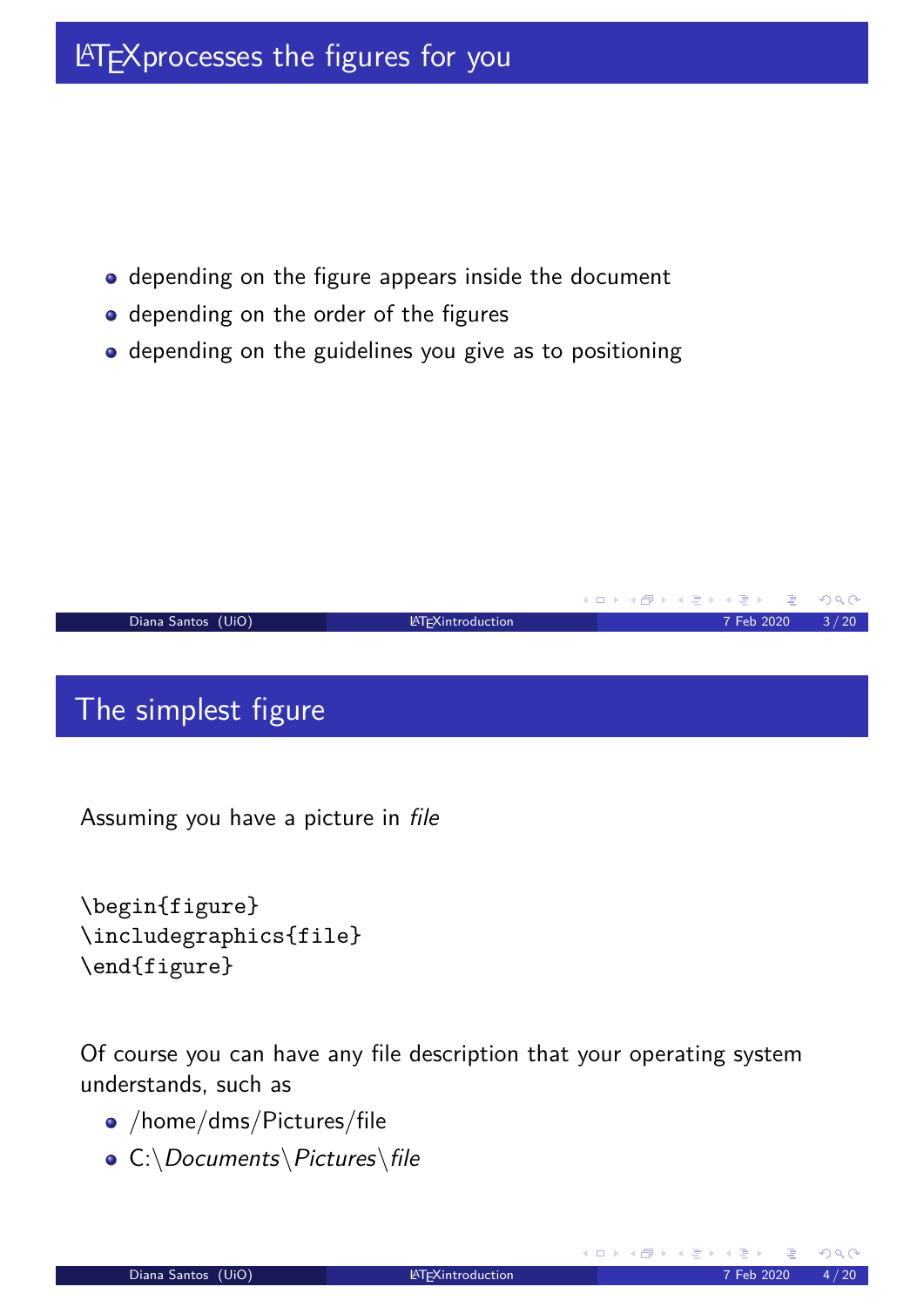# **LATEX processes the figures for you**

- depending on the figure appears inside the document
- depending on the order of the figures
- depending on the guidelines you give as to positioning

#### **K ロ ▶ K 御 ▶ K 君 ▶ K 君 ▶**  $OQ$ Diana Santos (UiO) LATEXintroduction 2020 2020 3/20

# The simplest figure

Assuming you have a picture in file

```
\begin{figure}
\includegraphics{file}
\end{figure}
```
Of course you can have any file description that your operating system understands, such as

- /home/dms/Pictures/file
- C:\Documents\Pictures\file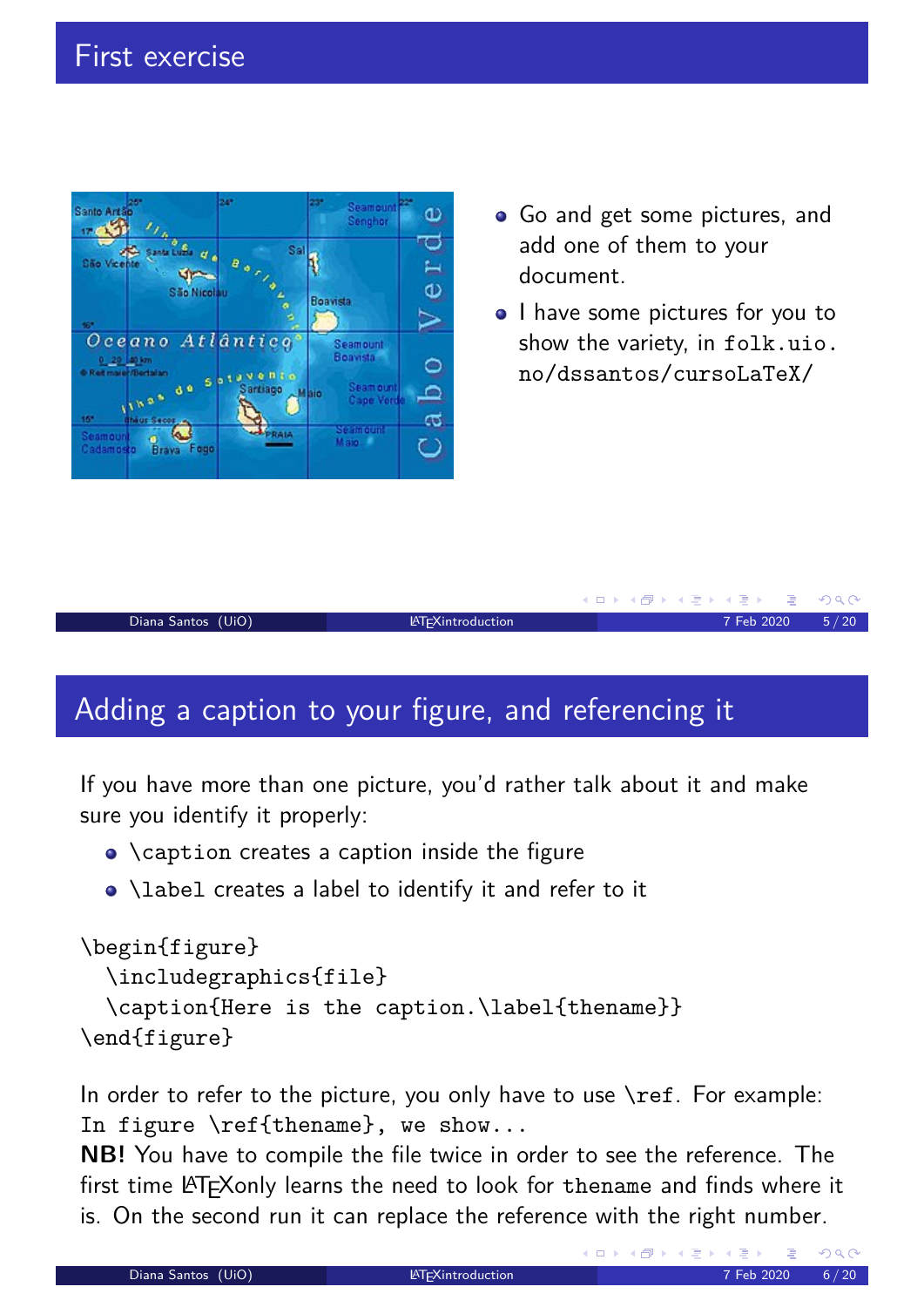

- Go and get some pictures, and add one of them to your document.
- I have some pictures for you to show the variety, in folk.uio. no/dssantos/cursoLaTeX/



# Adding a caption to your figure, and referencing it

If you have more than one picture, you'd rather talk about it and make sure you identify it properly:

- **\caption creates a caption inside the figure**
- \label creates a label to identify it and refer to it

```
\begin{figure}
  \includegraphics{file}
 \caption{Here is the caption.\label{thename}}
\end{figure}
```
In order to refer to the picture, you o[nly have t](folk.uio.no/dssantos/cursoLaTeX/)o use  $\ref$ . For example: In figure \ref{the[name}, we show...](folk.uio.no/dssantos/cursoLaTeX/)

**NB!** You have to compile the file twice in order to see the reference. The first time LATEXonly learns the need to look for thename and finds where it is. On the second run it can replace the reference with the right number.

 $(5.7)$   $(5.7)$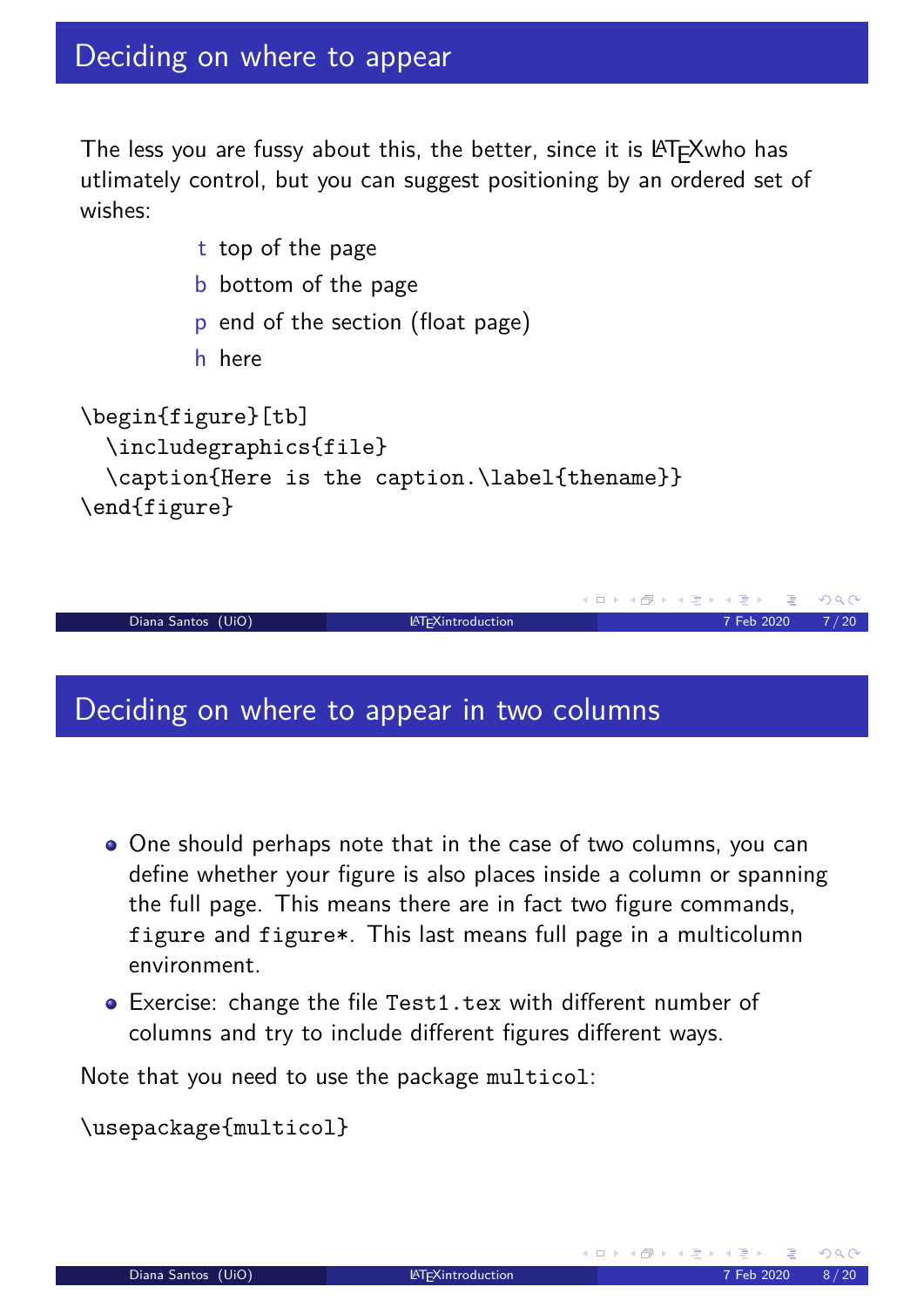The less you are fussy about this, the better, since it is LATFXwho has utlimately control, but you can suggest positioning by an ordered set of wishes:

- t top of the page
- b bottom of the page
- p end of the section (float page)
- h here

```
\begin{figure}[tb]
 \includegraphics{file}
 \caption{Here is the caption.\label{thename}}
\end{figure}
```


#### Deciding on where to appear in two columns

- <span id="page-3-0"></span>One should perhaps note that in the case of two columns, you can define whether your figure is also places inside a column or spanning the full page. This means there are in fact two figure commands, figure and figure\*. This last means full page in a multicolumn environment.
- Exercise: change the file Test1.tex with different number of columns and try to include different figures different ways.

Note that you need to use the package multicol:

\usepackage{multicol}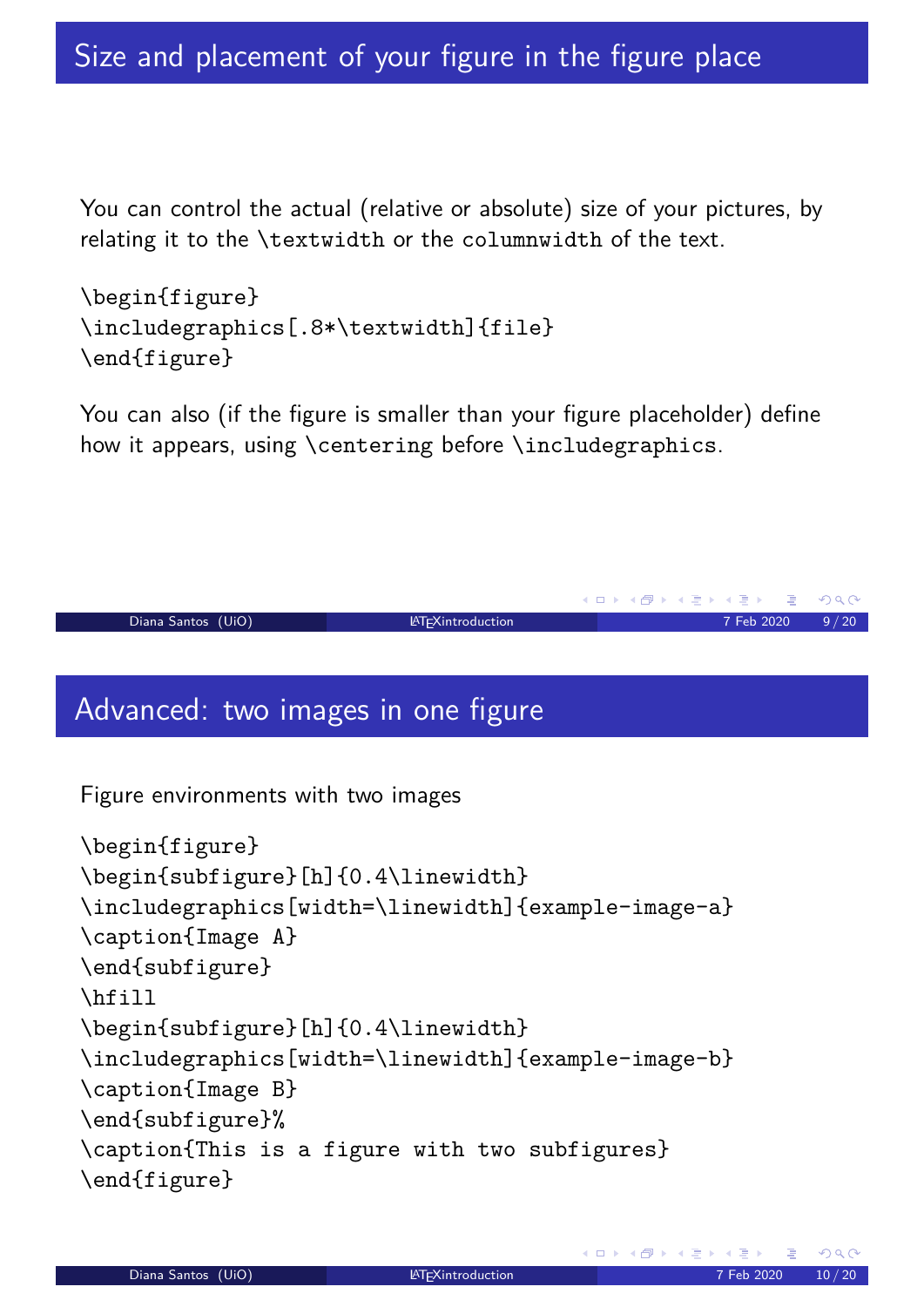You can control the actual (relative or absolute) size of your pictures, by relating it to the \textwidth or the columnwidth of the text.

\begin{figure} \includegraphics[.8\*\textwidth]{file} \end{figure}

You can also (if the figure is smaller than your figure placeholder) define how it appears, using \centering before \includegraphics.

```
Diana Santos (UiO) LATEXintroduction 20020 9/20
```
# Advanced: two images in one figure

Figure environments with two images

```
\begin{figure}
\begin{subfigure}[h]{0.4\linewidth}
\includegraphics[width=\linewidth]{example-image-a}
\caption{Image A}
\end{subfigure}
\hfill
\begin{subfigure}[h]{0.4\linewidth}
\includegraphics[width=\linewidth]{example-image-b}
\caption{Image B}
\end{subfigure}%
\caption{This is a figure with two subfigures}
\end{figure}
```
**K ロ ▶ K 御 ▶ K 君 ▶ K 君 ▶** 

 $OQ$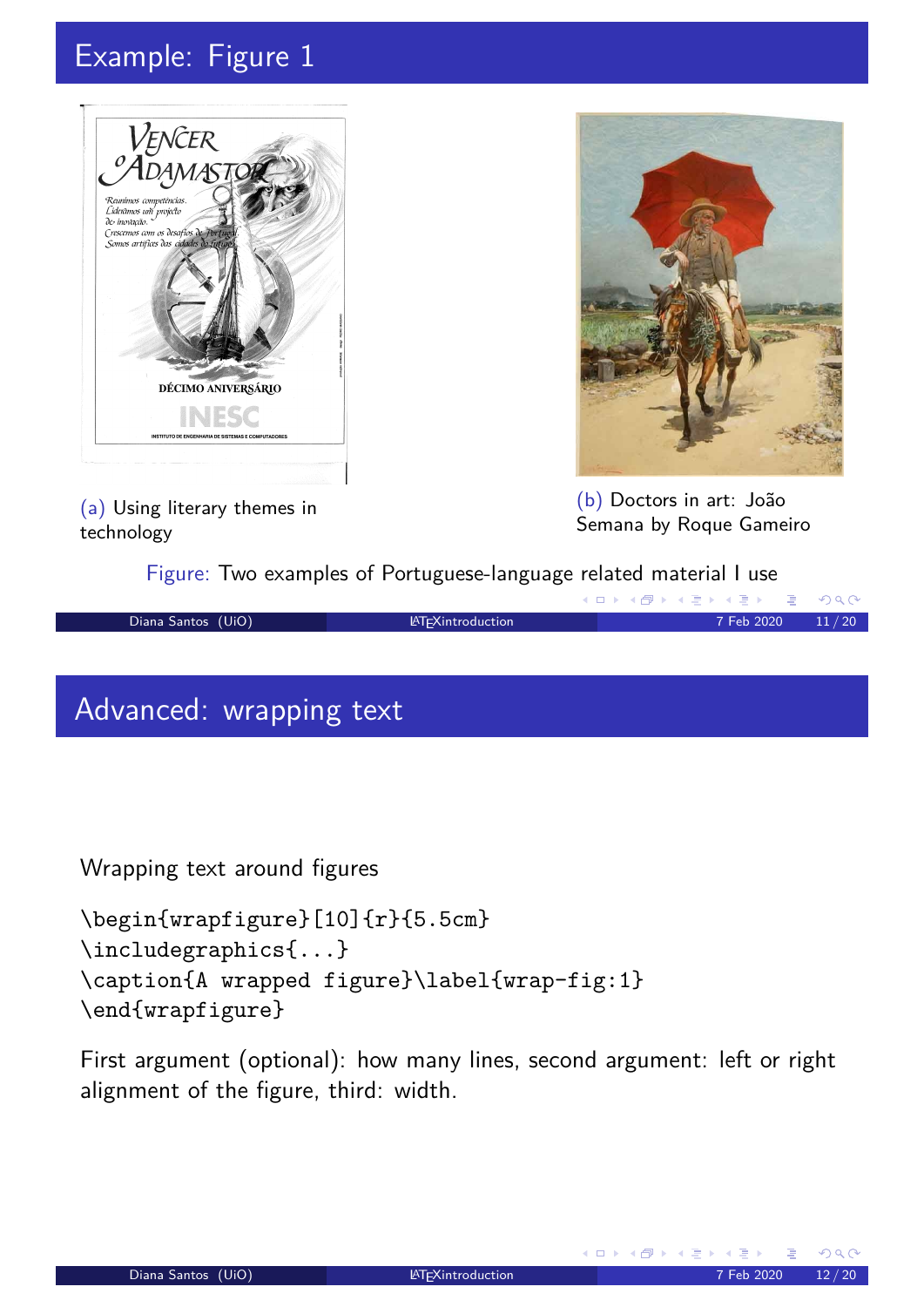# Example: Figure 1





(b) Doctors in art: João Semana by Roque Gameiro

(a) Using literary themes in technology

Figure: Two examples of Portuguese-language related material I use



# Advanced: wrapping text

Wrapping text around figures

```
\begin{wrapfigure}[10]{r}{5.5cm}
\includegraphics{...}
\caption{A wrapped figure}\label{wrap-fig:1}
\end{wrapfigure}
```
<span id="page-5-1"></span>First argument (optional): how many lines, second argument: left or right alignment of the figure, third: width.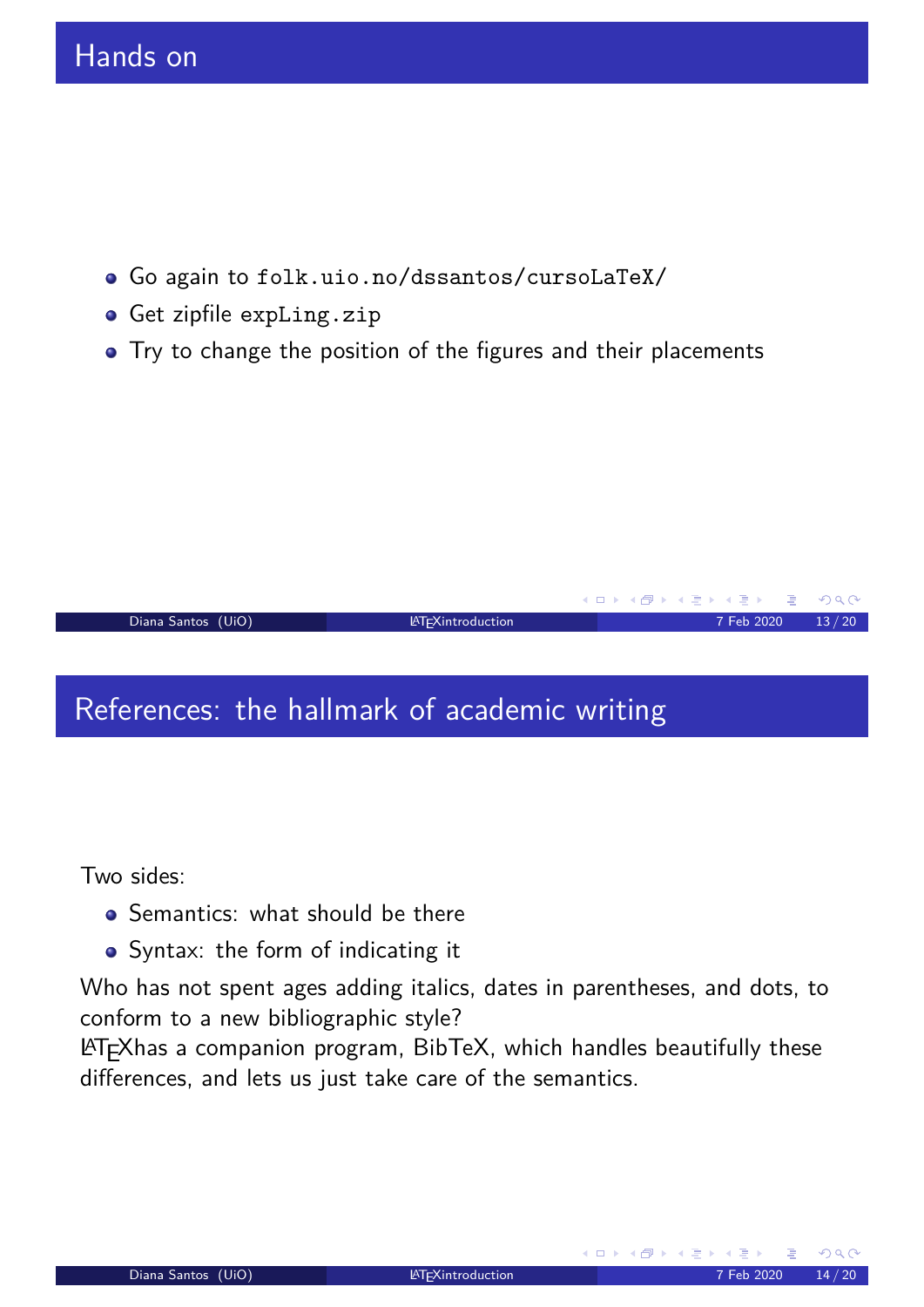- Go again to folk.uio.no/dssantos/cursoLaTeX/
- Get zipfile expLing.zip
- Try to change the position of the figures and their placements

#### Diana Santos (UiO) Later and LATEXintroduction and LATEXing and LATEXing and LATEXing and LATEXing and LATEXing and LATEXing and LATEXing and LATEXing and LATEXing and LATEXing and LATEXing and LATEXing and LATEXing and LA

# References: the hallmark of academic writing

<span id="page-6-0"></span>Two sides:

- **•** Semantics: what should be there
- Syntax: the form of indicating it

Who has not spent ages adding italics, dates in parentheses, and dots, to conform to a new bibliographic style?

LATEX[has a companion program, B](folk.uio.no/dssantos/cursoLaTeX/)ibTeX, which handles beautifully these differences, and lets us just take care of the semantics.

**K ロ ▶ K 御 ▶ K 君 ▶ K 君 ▶** 

G.

 $OQ$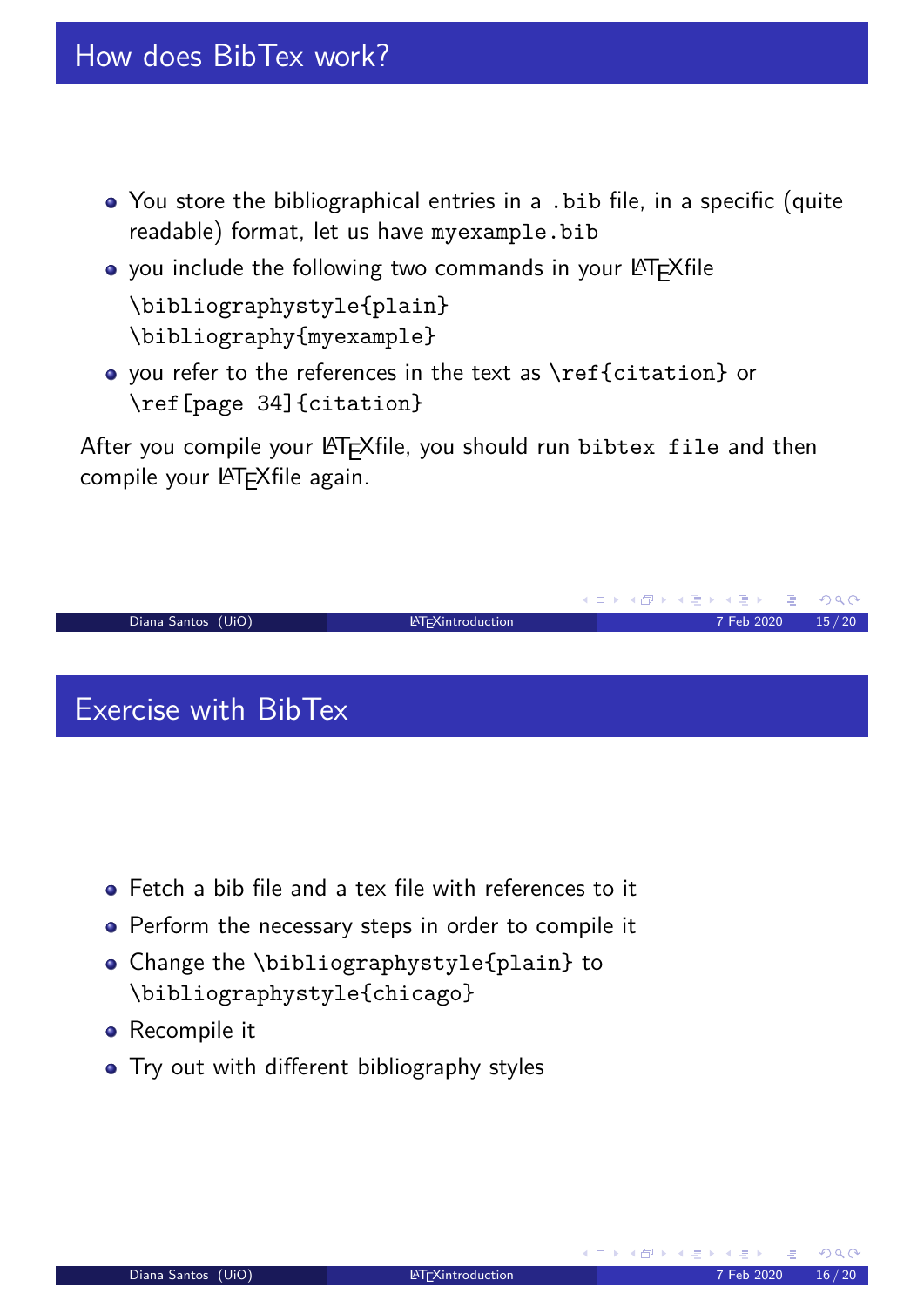- You store the bibliographical entries in a .bib file, in a specific (quite readable) format, let us have myexample.bib
- you include the following two commands in your LATEXfile \bibliographystyle{plain} \bibliography{myexample}
- you refer to the references in the text as \ref{citation} or \ref[page 34]{citation}

After you compile your LATEXfile, you should run bibtex file and then compile your LATEXfile again.



- <span id="page-7-0"></span>Fetch a bib file and a tex file with references to it
- Perform the necessary steps in order to compile it
- Change the \bibliographystyle{plain} to \bibliographystyle{chicago}
- **•** Recompile it
- Try out with different bibliography styles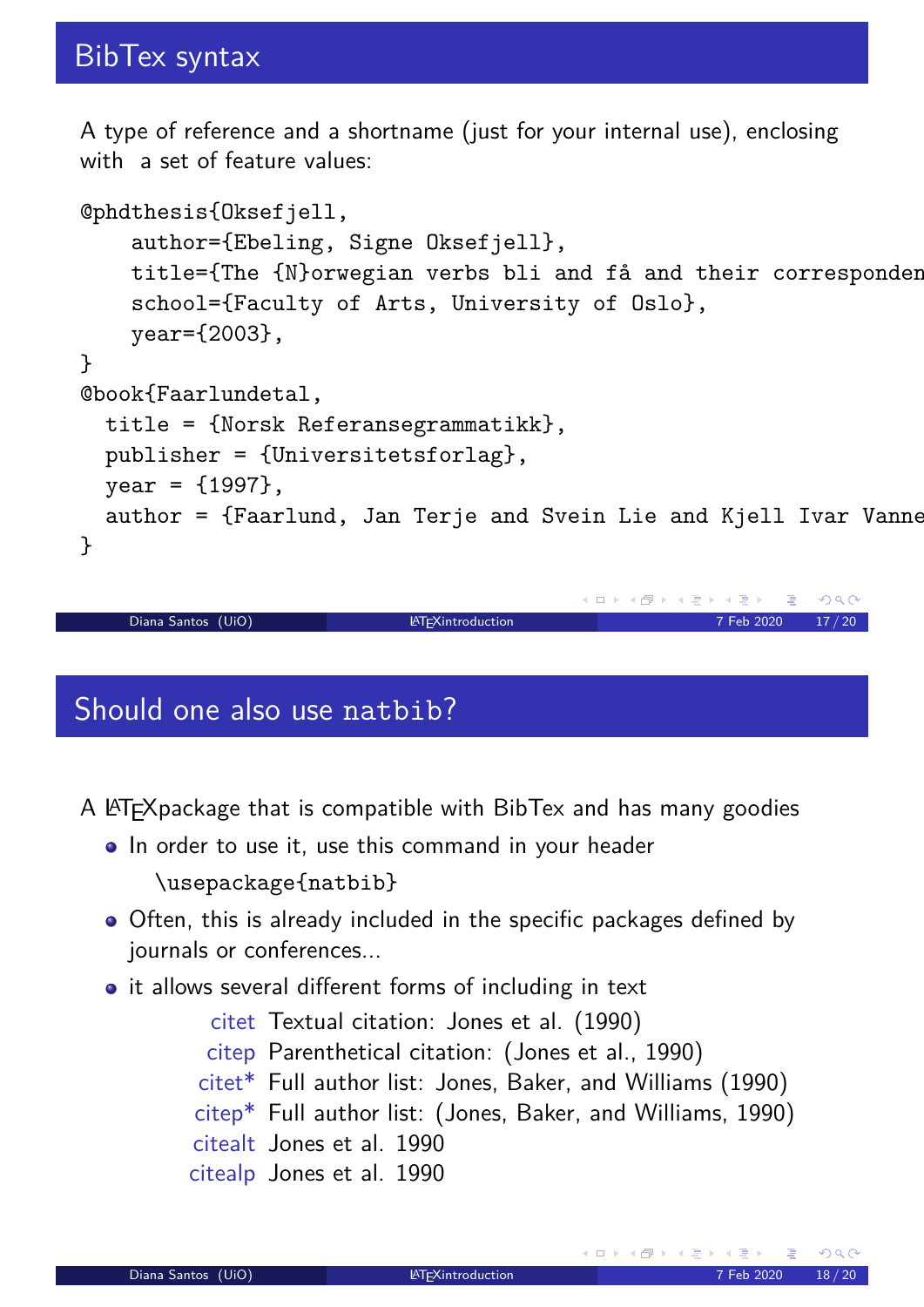A type of reference and a shortname (just for your internal use), enclosing with a set of feature values:

```
@phdthesis{Oksefjell,
    author={Ebeling, Signe Oksefjell},
    title={The {N} orwegian verbs bli and få and their corresponder
    school={Faculty of Arts, University of Oslo},
    year={2003},
}
@book{Faarlundetal,
  title = {Norsk Referansegrammatikk},
  publisher = {Universitetsforlag},
  year = {1997},
  author = {F\text{aarlund}}, Jan Terje and Svein Lie and Kjell Ivar Vanne
}
```

```
Diana Santos (UiO) LATEXintroduction 2020 17/20
```
#### Should one also use natbib?

A LATEXpackage that is compatible with BibTex and has many goodies

- In order to use it, use this command in your header \usepackage{natbib}
- <span id="page-8-0"></span>• Often, this is already included in the specific packages defined by journals or conferences...
- it allows several different forms of including in text
	- citet Textual citation: Jones et al. (1990) citep Parenthetical citation: (Jones et al., 1990) citet\* Full author list: Jones, Baker, and Williams (1990) citep\* Full author list: (Jones, Baker, and Williams, 1990) citealt Jones et al. 1990 citealp Jones et al. 1990

K ロ ▶ K @ ▶ K 할 ▶ K 할 ▶ .. 할

 $OQ$